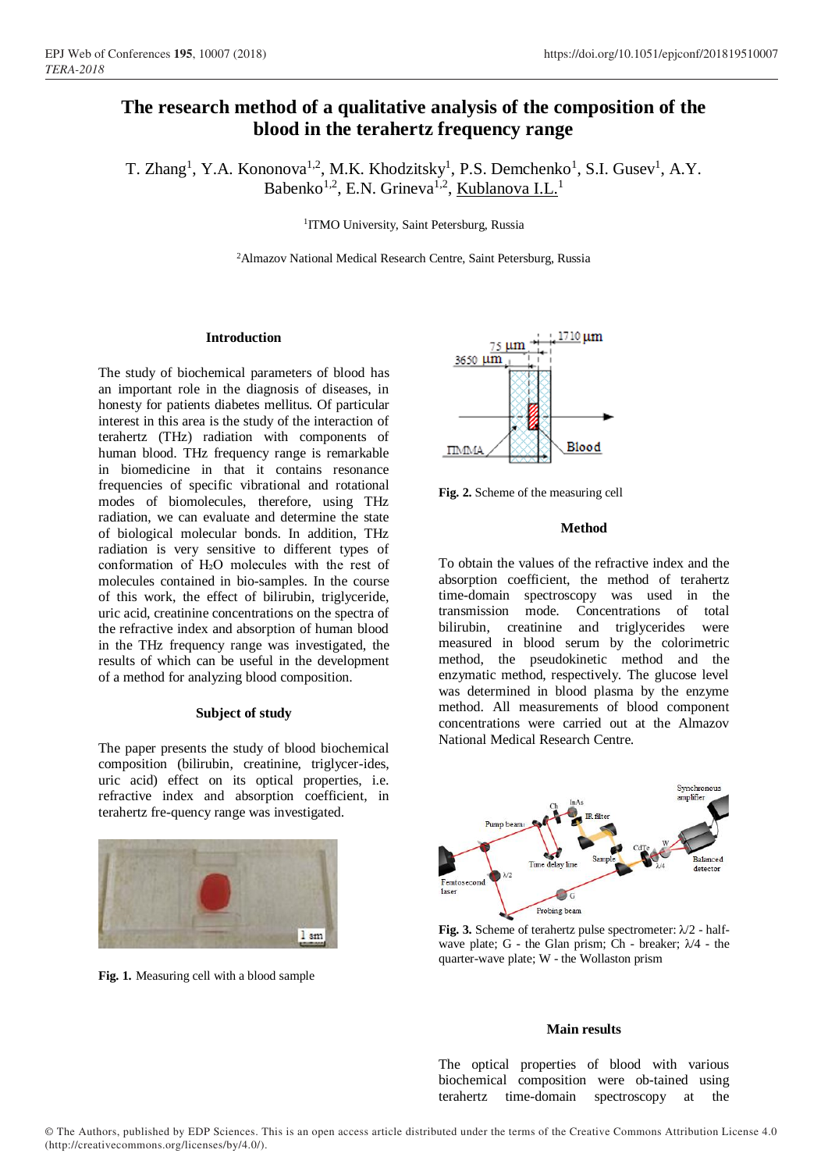# **The research method of a qualitative analysis of the composition of the blood in the terahertz frequency range**

T. Zhang<sup>1</sup>, Y.A. Kononova<sup>1,2</sup>, M.K. Khodzitsky<sup>1</sup>, P.S. Demchenko<sup>1</sup>, S.I. Gusev<sup>1</sup>, A.Y. Babenko<sup>1,2</sup>, E.N. Grineva<sup>1,2</sup>, <u>Kublanova I.L.</u><sup>1</sup>

<sup>1</sup>ITMO University, Saint Petersburg, Russia

<sup>2</sup>Almazov National Medical Research Centre, Saint Petersburg, Russia

## **Introduction**

The study of biochemical parameters of blood has an important role in the diagnosis of diseases, in honesty for patients diabetes mellitus. Of particular interest in this area is the study of the interaction of terahertz (THz) radiation with components of human blood. THz frequency range is remarkable in biomedicine in that it contains resonance frequencies of specific vibrational and rotational modes of biomolecules, therefore, using THz radiation, we can evaluate and determine the state of biological molecular bonds. In addition, THz radiation is very sensitive to different types of conformation of H2O molecules with the rest of molecules contained in bio-samples. In the course of this work, the effect of bilirubin, triglyceride, uric acid, creatinine concentrations on the spectra of the refractive index and absorption of human blood in the THz frequency range was investigated, the results of which can be useful in the development of a method for analyzing blood composition.

## **Subject of study**

The paper presents the study of blood biochemical composition (bilirubin, creatinine, triglycer-ides, uric acid) effect on its optical properties, i.e. refractive index and absorption coefficient, in terahertz fre-quency range was investigated.



**Fig. 1.** Measuring cell with a blood sample



**Fig. 2.** Scheme of the measuring cell

## **Method**

To obtain the values of the refractive index and the absorption coefficient, the method of terahertz time-domain spectroscopy was used in the transmission mode. Concentrations of total bilirubin, creatinine and triglycerides were measured in blood serum by the colorimetric method, the pseudokinetic method and the enzymatic method, respectively. The glucose level was determined in blood plasma by the enzyme method. All measurements of blood component concentrations were carried out at the Almazov National Medical Research Centre.



**Fig. 3.** Scheme of terahertz pulse spectrometer: λ/2 - halfwave plate; G - the Glan prism; Ch - breaker;  $\lambda/4$  - the quarter-wave plate; W - the Wollaston prism

## **Main results**

The optical properties of blood with various biochemical composition were ob-tained using terahertz time-domain spectroscopy at the